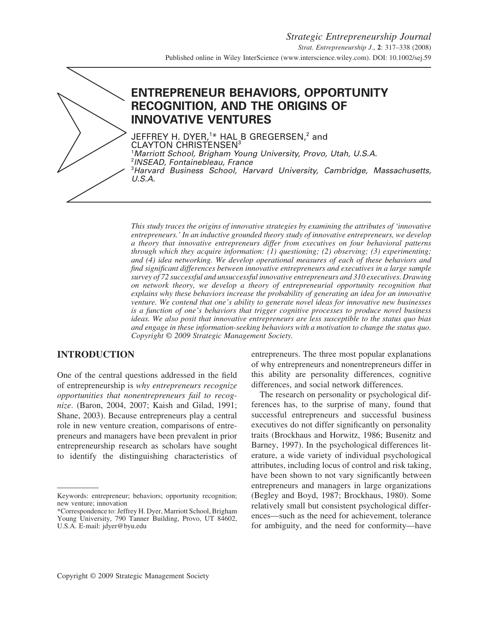

# **ENTREPRENEUR BEHAVIORS, OPPORTUNITY RECOGNITION, AND THE ORIGINS OF INNOVATIVE VENTURES**

JEFFREY H. DYER,<sup>1\*</sup> HAL B GREGERSEN,<sup>2</sup> and CLAYTON CHRISTENSEN3 1 *Marriott School, Brigham Young University, Provo, Utah, U.S.A.* 2 *INSEAD, Fontainebleau, France* 3 *Harvard Business School, Harvard University, Cambridge, Massachusetts, U.S.A.*

*This study traces the origins of innovative strategies by examining the attributes of 'innovative entrepreneurs.' In an inductive grounded theory study of innovative entrepreneurs, we develop a theory that innovative entrepreneurs differ from executives on four behavioral patterns through which they acquire information: (1) questioning; (2) observing; (3) experimenting; and (4) idea networking. We develop operational measures of each of these behaviors and find significant differences between innovative entrepreneurs and executives in a large sample survey of 72 successful and unsuccessful innovative entrepreneurs and 310 executives. Drawing on network theory, we develop a theory of entrepreneurial opportunity recognition that explains why these behaviors increase the probability of generating an idea for an innovative venture. We contend that one's ability to generate novel ideas for innovative new businesses is a function of one's behaviors that trigger cognitive processes to produce novel business ideas. We also posit that innovative entrepreneurs are less susceptible to the status quo bias and engage in these information-seeking behaviors with a motivation to change the status quo. Copyright © 2009 Strategic Management Society.*

# **INTRODUCTION**

One of the central questions addressed in the field of entrepreneurship is *why entrepreneurs recognize opportunities that nonentrepreneurs fail to recognize*. (Baron, 2004, 2007; Kaish and Gilad, 1991; Shane, 2003). Because entrepreneurs play a central role in new venture creation, comparisons of entrepreneurs and managers have been prevalent in prior entrepreneurship research as scholars have sought to identify the distinguishing characteristics of entrepreneurs. The three most popular explanations of why entrepreneurs and nonentrepreneurs differ in this ability are personality differences, cognitive differences, and social network differences.

The research on personality or psychological differences has, to the surprise of many, found that successful entrepreneurs and successful business executives do not differ significantly on personality traits (Brockhaus and Horwitz, 1986; Busenitz and Barney, 1997). In the psychological differences literature, a wide variety of individual psychological attributes, including locus of control and risk taking, have been shown to not vary significantly between entrepreneurs and managers in large organizations (Begley and Boyd, 1987; Brockhaus, 1980). Some relatively small but consistent psychological differences—such as the need for achievement, tolerance for ambiguity, and the need for conformity—have

Keywords: entrepreneur; behaviors; opportunity recognition; new venture; innovation

<sup>\*</sup>Correspondence to: Jeffrey H. Dyer, Marriott School, Brigham Young University, 790 Tanner Building, Provo, UT 84602, U.S.A. E-mail: jdyer@byu.edu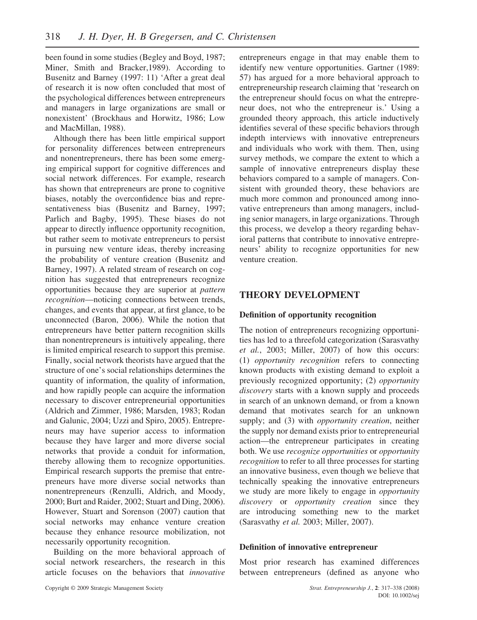been found in some studies (Begley and Boyd, 1987; Miner, Smith and Bracker,1989). According to Busenitz and Barney (1997: 11) 'After a great deal of research it is now often concluded that most of the psychological differences between entrepreneurs and managers in large organizations are small or nonexistent' (Brockhaus and Horwitz, 1986; Low and MacMillan, 1988).

Although there has been little empirical support for personality differences between entrepreneurs and nonentrepreneurs, there has been some emerging empirical support for cognitive differences and social network differences. For example, research has shown that entrepreneurs are prone to cognitive biases, notably the overconfidence bias and representativeness bias (Busenitz and Barney, 1997; Parlich and Bagby, 1995). These biases do not appear to directly influence opportunity recognition, but rather seem to motivate entrepreneurs to persist in pursuing new venture ideas, thereby increasing the probability of venture creation (Busenitz and Barney, 1997). A related stream of research on cognition has suggested that entrepreneurs recognize opportunities because they are superior at *pattern recognition*—noticing connections between trends, changes, and events that appear, at first glance, to be unconnected (Baron, 2006). While the notion that entrepreneurs have better pattern recognition skills than nonentrepreneurs is intuitively appealing, there is limited empirical research to support this premise. Finally, social network theorists have argued that the structure of one's social relationships determines the quantity of information, the quality of information, and how rapidly people can acquire the information necessary to discover entrepreneurial opportunities (Aldrich and Zimmer, 1986; Marsden, 1983; Rodan and Galunic, 2004; Uzzi and Spiro, 2005). Entrepreneurs may have superior access to information because they have larger and more diverse social networks that provide a conduit for information, thereby allowing them to recognize opportunities. Empirical research supports the premise that entrepreneurs have more diverse social networks than nonentrepreneurs (Renzulli, Aldrich, and Moody, 2000; Burt and Raider, 2002; Stuart and Ding, 2006). However, Stuart and Sorenson (2007) caution that social networks may enhance venture creation because they enhance resource mobilization, not necessarily opportunity recognition.

Building on the more behavioral approach of social network researchers, the research in this article focuses on the behaviors that *innovative*

entrepreneurs engage in that may enable them to identify new venture opportunities. Gartner (1989: 57) has argued for a more behavioral approach to entrepreneurship research claiming that 'research on the entrepreneur should focus on what the entrepreneur does, not who the entrepreneur is.' Using a grounded theory approach, this article inductively identifies several of these specific behaviors through indepth interviews with innovative entrepreneurs and individuals who work with them. Then, using survey methods, we compare the extent to which a sample of innovative entrepreneurs display these behaviors compared to a sample of managers. Consistent with grounded theory, these behaviors are much more common and pronounced among innovative entrepreneurs than among managers, including senior managers, in large organizations. Through this process, we develop a theory regarding behavioral patterns that contribute to innovative entrepreneurs' ability to recognize opportunities for new venture creation.

# **THEORY DEVELOPMENT**

## **Definition of opportunity recognition**

The notion of entrepreneurs recognizing opportunities has led to a threefold categorization (Sarasvathy *et al.*, 2003; Miller, 2007) of how this occurs: (1) *opportunity recognition* refers to connecting known products with existing demand to exploit a previously recognized opportunity; (2) *opportunity discovery* starts with a known supply and proceeds in search of an unknown demand, or from a known demand that motivates search for an unknown supply; and (3) with *opportunity creation*, neither the supply nor demand exists prior to entrepreneurial action—the entrepreneur participates in creating both. We use *recognize opportunities* or *opportunity recognition* to refer to all three processes for starting an innovative business, even though we believe that technically speaking the innovative entrepreneurs we study are more likely to engage in *opportunity discovery* or *opportunity creation* since they are introducing something new to the market (Sarasvathy *et al.* 2003; Miller, 2007).

## **Definition of innovative entrepreneur**

Most prior research has examined differences between entrepreneurs (defined as anyone who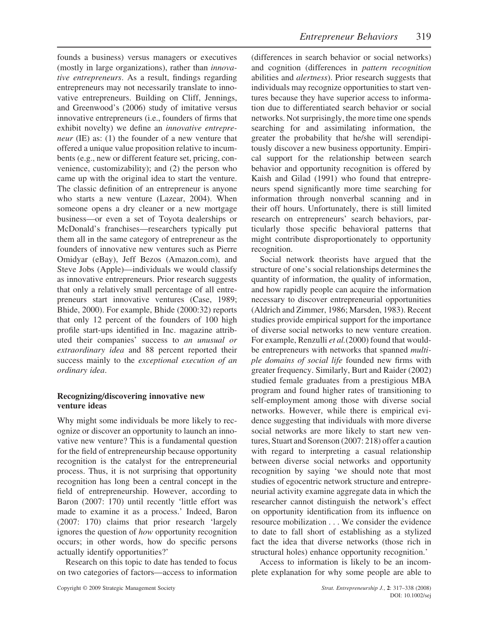founds a business) versus managers or executives (mostly in large organizations), rather than *innovative entrepreneurs*. As a result, findings regarding entrepreneurs may not necessarily translate to innovative entrepreneurs. Building on Cliff, Jennings, and Greenwood's (2006) study of imitative versus innovative entrepreneurs (i.e., founders of firms that exhibit novelty) we define an *innovative entrepreneur* (IE) as: (1) the founder of a new venture that offered a unique value proposition relative to incumbents (e.g., new or different feature set, pricing, convenience, customizability); and (2) the person who came up with the original idea to start the venture. The classic definition of an entrepreneur is anyone who starts a new venture (Lazear, 2004). When someone opens a dry cleaner or a new mortgage business—or even a set of Toyota dealerships or McDonald's franchises—researchers typically put them all in the same category of entrepreneur as the founders of innovative new ventures such as Pierre Omidyar (eBay), Jeff Bezos (Amazon.com), and Steve Jobs (Apple)—individuals we would classify as innovative entrepreneurs. Prior research suggests that only a relatively small percentage of all entrepreneurs start innovative ventures (Case, 1989; Bhide, 2000). For example, Bhide (2000:32) reports that only 12 percent of the founders of 100 high profile start-ups identified in Inc. magazine attributed their companies' success to *an unusual or extraordinary idea* and 88 percent reported their success mainly to the *exceptional execution of an ordinary idea*.

#### **Recognizing/discovering innovative new venture ideas**

Why might some individuals be more likely to recognize or discover an opportunity to launch an innovative new venture? This is a fundamental question for the field of entrepreneurship because opportunity recognition is the catalyst for the entrepreneurial process. Thus, it is not surprising that opportunity recognition has long been a central concept in the field of entrepreneurship. However, according to Baron (2007: 170) until recently 'little effort was made to examine it as a process.' Indeed, Baron (2007: 170) claims that prior research 'largely ignores the question of *how* opportunity recognition occurs; in other words, how do specific persons actually identify opportunities?'

Research on this topic to date has tended to focus on two categories of factors—access to information

(differences in search behavior or social networks) and cognition (differences in *pattern recognition* abilities and *alertness*). Prior research suggests that individuals may recognize opportunities to start ventures because they have superior access to information due to differentiated search behavior or social networks. Not surprisingly, the more time one spends searching for and assimilating information, the greater the probability that he/she will serendipitously discover a new business opportunity. Empirical support for the relationship between search behavior and opportunity recognition is offered by Kaish and Gilad (1991) who found that entrepreneurs spend significantly more time searching for information through nonverbal scanning and in their off hours. Unfortunately, there is still limited research on entrepreneurs' search behaviors, particularly those specific behavioral patterns that might contribute disproportionately to opportunity recognition.

Social network theorists have argued that the structure of one's social relationships determines the quantity of information, the quality of information, and how rapidly people can acquire the information necessary to discover entrepreneurial opportunities (Aldrich and Zimmer, 1986; Marsden, 1983). Recent studies provide empirical support for the importance of diverse social networks to new venture creation. For example, Renzulli *et al.*(2000) found that wouldbe entrepreneurs with networks that spanned *multiple domains of social life* founded new firms with greater frequency. Similarly, Burt and Raider (2002) studied female graduates from a prestigious MBA program and found higher rates of transitioning to self-employment among those with diverse social networks. However, while there is empirical evidence suggesting that individuals with more diverse social networks are more likely to start new ventures, Stuart and Sorenson (2007: 218) offer a caution with regard to interpreting a casual relationship between diverse social networks and opportunity recognition by saying 'we should note that most studies of egocentric network structure and entrepreneurial activity examine aggregate data in which the researcher cannot distinguish the network's effect on opportunity identification from its influence on resource mobilization . . . We consider the evidence to date to fall short of establishing as a stylized fact the idea that diverse networks (those rich in structural holes) enhance opportunity recognition.'

Access to information is likely to be an incomplete explanation for why some people are able to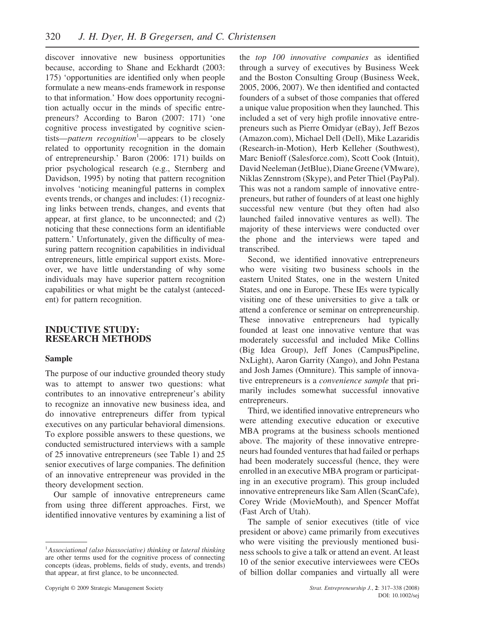discover innovative new business opportunities because, according to Shane and Eckhardt (2003: 175) 'opportunities are identified only when people formulate a new means-ends framework in response to that information.' How does opportunity recognition actually occur in the minds of specific entrepreneurs? According to Baron (2007: 171) 'one cognitive process investigated by cognitive scientists—*pattern recognition*<sup>1</sup> —appears to be closely related to opportunity recognition in the domain of entrepreneurship.' Baron (2006: 171) builds on prior psychological research (e.g., Sternberg and Davidson, 1995) by noting that pattern recognition involves 'noticing meaningful patterns in complex events trends, or changes and includes: (1) recognizing links between trends, changes, and events that appear, at first glance, to be unconnected; and (2) noticing that these connections form an identifiable pattern.' Unfortunately, given the difficulty of measuring pattern recognition capabilities in individual entrepreneurs, little empirical support exists. Moreover, we have little understanding of why some individuals may have superior pattern recognition capabilities or what might be the catalyst (antecedent) for pattern recognition.

## **INDUCTIVE STUDY: RESEARCH METHODS**

## **Sample**

The purpose of our inductive grounded theory study was to attempt to answer two questions: what contributes to an innovative entrepreneur's ability to recognize an innovative new business idea, and do innovative entrepreneurs differ from typical executives on any particular behavioral dimensions. To explore possible answers to these questions, we conducted semistructured interviews with a sample of 25 innovative entrepreneurs (see Table 1) and 25 senior executives of large companies. The definition of an innovative entrepreneur was provided in the theory development section.

Our sample of innovative entrepreneurs came from using three different approaches. First, we identified innovative ventures by examining a list of

Copyright © 2009 Strategic Management Society *Strat. Entrepreneurship J.*, **2**: 317–338 (2008)

the *top 100 innovative companies* as identified through a survey of executives by Business Week and the Boston Consulting Group (Business Week, 2005, 2006, 2007). We then identified and contacted founders of a subset of those companies that offered a unique value proposition when they launched. This included a set of very high profile innovative entrepreneurs such as Pierre Omidyar (eBay), Jeff Bezos (Amazon.com), Michael Dell (Dell), Mike Lazaridis (Research-in-Motion), Herb Kelleher (Southwest), Marc Benioff (Salesforce.com), Scott Cook (Intuit), David Neeleman (JetBlue), Diane Greene (VMware), Niklas Zennstrom (Skype), and Peter Thiel (PayPal). This was not a random sample of innovative entrepreneurs, but rather of founders of at least one highly successful new venture (but they often had also launched failed innovative ventures as well). The majority of these interviews were conducted over the phone and the interviews were taped and transcribed.

Second, we identified innovative entrepreneurs who were visiting two business schools in the eastern United States, one in the western United States, and one in Europe. These IEs were typically visiting one of these universities to give a talk or attend a conference or seminar on entrepreneurship. These innovative entrepreneurs had typically founded at least one innovative venture that was moderately successful and included Mike Collins (Big Idea Group), Jeff Jones (CampusPipeline, NxLight), Aaron Garrity (Xango), and John Pestana and Josh James (Omniture). This sample of innovative entrepreneurs is a *convenience sample* that primarily includes somewhat successful innovative entrepreneurs.

Third, we identified innovative entrepreneurs who were attending executive education or executive MBA programs at the business schools mentioned above. The majority of these innovative entrepreneurs had founded ventures that had failed or perhaps had been moderately successful (hence, they were enrolled in an executive MBA program or participating in an executive program). This group included innovative entrepreneurs like Sam Allen (ScanCafe), Corey Wride (MovieMouth), and Spencer Moffat (Fast Arch of Utah).

The sample of senior executives (title of vice president or above) came primarily from executives who were visiting the previously mentioned business schools to give a talk or attend an event. At least 10 of the senior executive interviewees were CEOs of billion dollar companies and virtually all were

<sup>1</sup>*Associational (also biassociative) thinking* or *lateral thinking* are other terms used for the cognitive process of connecting concepts (ideas, problems, fields of study, events, and trends) that appear, at first glance, to be unconnected.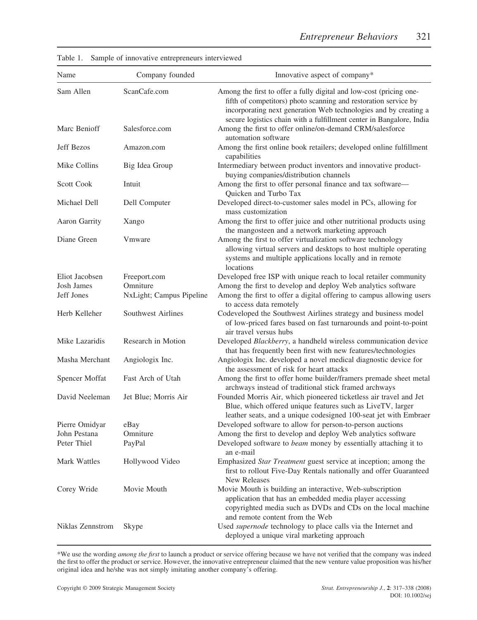| Name                     | Company founded                      | Innovative aspect of company*                                                                                                                                                                                                                                                      |
|--------------------------|--------------------------------------|------------------------------------------------------------------------------------------------------------------------------------------------------------------------------------------------------------------------------------------------------------------------------------|
| Sam Allen                | ScanCafe.com                         | Among the first to offer a fully digital and low-cost (pricing one-<br>fifth of competitors) photo scanning and restoration service by<br>incorporating next generation Web technologies and by creating a<br>secure logistics chain with a fulfillment center in Bangalore, India |
| Marc Benioff             | Salesforce.com                       | Among the first to offer online/on-demand CRM/salesforce<br>automation software                                                                                                                                                                                                    |
| Jeff Bezos               | Amazon.com                           | Among the first online book retailers; developed online fulfillment<br>capabilities                                                                                                                                                                                                |
| Mike Collins             | Big Idea Group                       | Intermediary between product inventors and innovative product-<br>buying companies/distribution channels                                                                                                                                                                           |
| <b>Scott Cook</b>        | Intuit                               | Among the first to offer personal finance and tax software-<br>Quicken and Turbo Tax                                                                                                                                                                                               |
| Michael Dell             | Dell Computer                        | Developed direct-to-customer sales model in PCs, allowing for<br>mass customization                                                                                                                                                                                                |
| Aaron Garrity            | Xango                                | Among the first to offer juice and other nutritional products using<br>the mangosteen and a network marketing approach                                                                                                                                                             |
| Diane Green              | Vmware                               | Among the first to offer virtualization software technology<br>allowing virtual servers and desktops to host multiple operating<br>systems and multiple applications locally and in remote<br>locations                                                                            |
| Eliot Jacobsen           | Freeport.com                         | Developed free ISP with unique reach to local retailer community                                                                                                                                                                                                                   |
| Josh James<br>Jeff Jones | Omniture<br>NxLight; Campus Pipeline | Among the first to develop and deploy Web analytics software<br>Among the first to offer a digital offering to campus allowing users<br>to access data remotely                                                                                                                    |
| Herb Kelleher            | Southwest Airlines                   | Codeveloped the Southwest Airlines strategy and business model<br>of low-priced fares based on fast turnarounds and point-to-point<br>air travel versus hubs                                                                                                                       |
| Mike Lazaridis           | Research in Motion                   | Developed Blackberry, a handheld wireless communication device<br>that has frequently been first with new features/technologies                                                                                                                                                    |
| Masha Merchant           | Angiologix Inc.                      | Angiologix Inc. developed a novel medical diagnostic device for<br>the assessment of risk for heart attacks                                                                                                                                                                        |
| Spencer Moffat           | Fast Arch of Utah                    | Among the first to offer home builder/framers premade sheet metal<br>archways instead of traditional stick framed archways                                                                                                                                                         |
| David Neeleman           | Jet Blue; Morris Air                 | Founded Morris Air, which pioneered ticketless air travel and Jet<br>Blue, which offered unique features such as LiveTV, larger<br>leather seats, and a unique codesigned 100-seat jet with Embraer                                                                                |
| Pierre Omidyar           | eBay                                 | Developed software to allow for person-to-person auctions                                                                                                                                                                                                                          |
| John Pestana             | Omniture                             | Among the first to develop and deploy Web analytics software                                                                                                                                                                                                                       |
| Peter Thiel              | PayPal                               | Developed software to beam money by essentially attaching it to<br>an e-mail                                                                                                                                                                                                       |
| Mark Wattles             | Hollywood Video                      | Emphasized Star Treatment guest service at inception; among the<br>first to rollout Five-Day Rentals nationally and offer Guaranteed<br>New Releases                                                                                                                               |
| Corey Wride              | Movie Mouth                          | Movie Mouth is building an interactive, Web-subscription<br>application that has an embedded media player accessing<br>copyrighted media such as DVDs and CDs on the local machine<br>and remote content from the Web                                                              |
| Niklas Zennstrom         | Skype                                | Used <i>supernode</i> technology to place calls via the Internet and<br>deployed a unique viral marketing approach                                                                                                                                                                 |

Table 1. Sample of innovative entrepreneurs interviewed

\*We use the wording *among the first* to launch a product or service offering because we have not verified that the company was indeed the first to offer the product or service. However, the innovative entrepreneur claimed that the new venture value proposition was his/her original idea and he/she was not simply imitating another company's offering.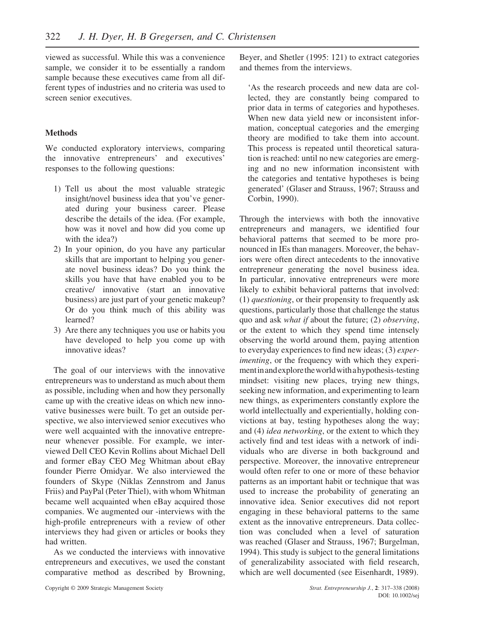viewed as successful. While this was a convenience sample, we consider it to be essentially a random sample because these executives came from all different types of industries and no criteria was used to screen senior executives.

# **Methods**

We conducted exploratory interviews, comparing the innovative entrepreneurs' and executives' responses to the following questions:

- 1) Tell us about the most valuable strategic insight/novel business idea that you've generated during your business career. Please describe the details of the idea. (For example, how was it novel and how did you come up with the idea?)
- 2) In your opinion, do you have any particular skills that are important to helping you generate novel business ideas? Do you think the skills you have that have enabled you to be creative/ innovative (start an innovative business) are just part of your genetic makeup? Or do you think much of this ability was learned?
- 3) Are there any techniques you use or habits you have developed to help you come up with innovative ideas?

The goal of our interviews with the innovative entrepreneurs was to understand as much about them as possible, including when and how they personally came up with the creative ideas on which new innovative businesses were built. To get an outside perspective, we also interviewed senior executives who were well acquainted with the innovative entrepreneur whenever possible. For example, we interviewed Dell CEO Kevin Rollins about Michael Dell and former eBay CEO Meg Whitman about eBay founder Pierre Omidyar. We also interviewed the founders of Skype (Niklas Zennstrom and Janus Friis) and PayPal (Peter Thiel), with whom Whitman became well acquainted when eBay acquired those companies. We augmented our -interviews with the high-profile entrepreneurs with a review of other interviews they had given or articles or books they had written.

As we conducted the interviews with innovative entrepreneurs and executives, we used the constant comparative method as described by Browning,

Beyer, and Shetler (1995: 121) to extract categories and themes from the interviews.

'As the research proceeds and new data are collected, they are constantly being compared to prior data in terms of categories and hypotheses. When new data vield new or inconsistent information, conceptual categories and the emerging theory are modified to take them into account. This process is repeated until theoretical saturation is reached: until no new categories are emerging and no new information inconsistent with the categories and tentative hypotheses is being generated' (Glaser and Strauss, 1967; Strauss and Corbin, 1990).

Through the interviews with both the innovative entrepreneurs and managers, we identified four behavioral patterns that seemed to be more pronounced in IEs than managers. Moreover, the behaviors were often direct antecedents to the innovative entrepreneur generating the novel business idea. In particular, innovative entrepreneurs were more likely to exhibit behavioral patterns that involved: (1) *questioning*, or their propensity to frequently ask questions, particularly those that challenge the status quo and ask *what if* about the future; (2) *observing*, or the extent to which they spend time intensely observing the world around them, paying attention to everyday experiences to find new ideas; (3) *experimenting*, or the frequency with which they experiment in and explore the world with a hypothesis-testing mindset: visiting new places, trying new things, seeking new information, and experimenting to learn new things, as experimenters constantly explore the world intellectually and experientially, holding convictions at bay, testing hypotheses along the way; and (4) *idea networking*, or the extent to which they actively find and test ideas with a network of individuals who are diverse in both background and perspective. Moreover, the innovative entrepreneur would often refer to one or more of these behavior patterns as an important habit or technique that was used to increase the probability of generating an innovative idea. Senior executives did not report engaging in these behavioral patterns to the same extent as the innovative entrepreneurs. Data collection was concluded when a level of saturation was reached (Glaser and Strauss, 1967; Burgelman, 1994). This study is subject to the general limitations of generalizability associated with field research, which are well documented (see Eisenhardt, 1989).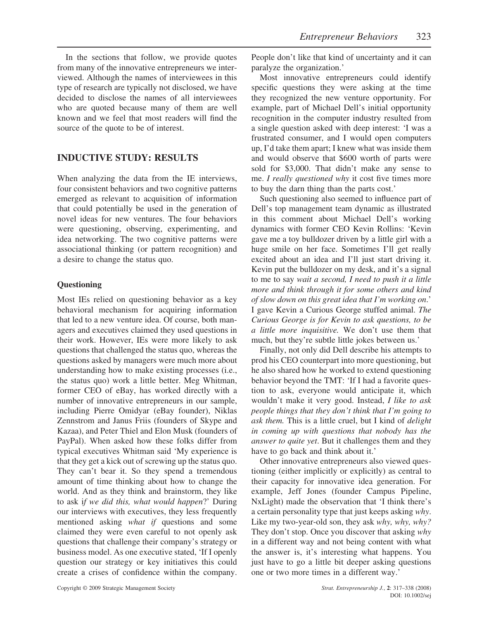In the sections that follow, we provide quotes from many of the innovative entrepreneurs we interviewed. Although the names of interviewees in this type of research are typically not disclosed, we have decided to disclose the names of all interviewees who are quoted because many of them are well known and we feel that most readers will find the source of the quote to be of interest.

# **INDUCTIVE STUDY: RESULTS**

When analyzing the data from the IE interviews, four consistent behaviors and two cognitive patterns emerged as relevant to acquisition of information that could potentially be used in the generation of novel ideas for new ventures. The four behaviors were questioning, observing, experimenting, and idea networking. The two cognitive patterns were associational thinking (or pattern recognition) and a desire to change the status quo.

## **Questioning**

Most IEs relied on questioning behavior as a key behavioral mechanism for acquiring information that led to a new venture idea. Of course, both managers and executives claimed they used questions in their work. However, IEs were more likely to ask questions that challenged the status quo, whereas the questions asked by managers were much more about understanding how to make existing processes (i.e., the status quo) work a little better. Meg Whitman, former CEO of eBay, has worked directly with a number of innovative entrepreneurs in our sample, including Pierre Omidyar (eBay founder), Niklas Zennstrom and Janus Friis (founders of Skype and Kazaa), and Peter Thiel and Elon Musk (founders of PayPal). When asked how these folks differ from typical executives Whitman said 'My experience is that they get a kick out of screwing up the status quo. They can't bear it. So they spend a tremendous amount of time thinking about how to change the world. And as they think and brainstorm, they like to ask i*f we did this, what would happen*?' During our interviews with executives, they less frequently mentioned asking *what if* questions and some claimed they were even careful to not openly ask questions that challenge their company's strategy or business model. As one executive stated, 'If I openly question our strategy or key initiatives this could create a crises of confidence within the company.

People don't like that kind of uncertainty and it can paralyze the organization.'

Most innovative entrepreneurs could identify specific questions they were asking at the time they recognized the new venture opportunity. For example, part of Michael Dell's initial opportunity recognition in the computer industry resulted from a single question asked with deep interest: 'I was a frustrated consumer, and I would open computers up, I'd take them apart; I knew what was inside them and would observe that \$600 worth of parts were sold for \$3,000. That didn't make any sense to me. *I really questioned why* it cost five times more to buy the darn thing than the parts cost.'

Such questioning also seemed to influence part of Dell's top management team dynamic as illustrated in this comment about Michael Dell's working dynamics with former CEO Kevin Rollins: 'Kevin gave me a toy bulldozer driven by a little girl with a huge smile on her face. Sometimes I'll get really excited about an idea and I'll just start driving it. Kevin put the bulldozer on my desk, and it's a signal to me to say *wait a second, I need to push it a little more and think through it for some others and kind of slow down on this great idea that I'm working on*.' I gave Kevin a Curious George stuffed animal. *The Curious George is for Kevin to ask questions, to be a little more inquisitive.* We don't use them that much, but they're subtle little jokes between us.'

Finally, not only did Dell describe his attempts to prod his CEO counterpart into more questioning, but he also shared how he worked to extend questioning behavior beyond the TMT: 'If I had a favorite question to ask, everyone would anticipate it, which wouldn't make it very good. Instead, *I like to ask people things that they don't think that I'm going to ask them.* This is a little cruel, but I kind of *delight in coming up with questions that nobody has the answer to quite yet*. But it challenges them and they have to go back and think about it.'

Other innovative entrepreneurs also viewed questioning (either implicitly or explicitly) as central to their capacity for innovative idea generation. For example, Jeff Jones (founder Campus Pipeline, NxLight) made the observation that 'I think there's a certain personality type that just keeps asking *why*. Like my two-year-old son, they ask *why, why, why?* They don't stop. Once you discover that asking *why* in a different way and not being content with what the answer is, it's interesting what happens. You just have to go a little bit deeper asking questions one or two more times in a different way.'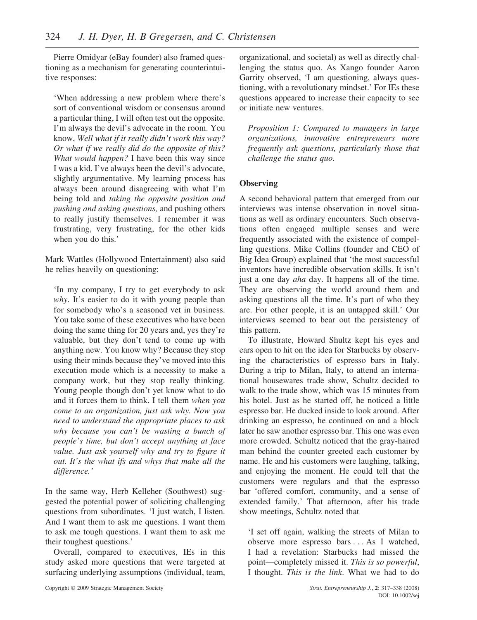Pierre Omidyar (eBay founder) also framed questioning as a mechanism for generating counterintuitive responses:

'When addressing a new problem where there's sort of conventional wisdom or consensus around a particular thing, I will often test out the opposite. I'm always the devil's advocate in the room. You know, *Well what if it really didn't work this way? Or what if we really did do the opposite of this? What would happen?* I have been this way since I was a kid. I've always been the devil's advocate, slightly argumentative. My learning process has always been around disagreeing with what I'm being told and *taking the opposite position and pushing and asking questions,* and pushing others to really justify themselves. I remember it was frustrating, very frustrating, for the other kids when you do this.'

Mark Wattles (Hollywood Entertainment) also said he relies heavily on questioning:

'In my company, I try to get everybody to ask *why*. It's easier to do it with young people than for somebody who's a seasoned vet in business. You take some of these executives who have been doing the same thing for 20 years and, yes they're valuable, but they don't tend to come up with anything new. You know why? Because they stop using their minds because they've moved into this execution mode which is a necessity to make a company work, but they stop really thinking. Young people though don't yet know what to do and it forces them to think. I tell them *when you come to an organization, just ask why. Now you need to understand the appropriate places to ask why because you can't be wasting a bunch of people's time, but don't accept anything at face value. Just ask yourself why and try to figure it out. It's the what ifs and whys that make all the difference.'*

In the same way, Herb Kelleher (Southwest) suggested the potential power of soliciting challenging questions from subordinates. 'I just watch, I listen. And I want them to ask me questions. I want them to ask me tough questions. I want them to ask me their toughest questions.'

Overall, compared to executives, IEs in this study asked more questions that were targeted at surfacing underlying assumptions (individual, team,

organizational, and societal) as well as directly challenging the status quo. As Xango founder Aaron Garrity observed, 'I am questioning, always questioning, with a revolutionary mindset.' For IEs these questions appeared to increase their capacity to see or initiate new ventures.

*Proposition 1: Compared to managers in large organizations, innovative entrepreneurs more frequently ask questions, particularly those that challenge the status quo.*

## **Observing**

A second behavioral pattern that emerged from our interviews was intense observation in novel situations as well as ordinary encounters. Such observations often engaged multiple senses and were frequently associated with the existence of compelling questions. Mike Collins (founder and CEO of Big Idea Group) explained that 'the most successful inventors have incredible observation skills. It isn't just a one day *aha* day. It happens all of the time. They are observing the world around them and asking questions all the time. It's part of who they are. For other people, it is an untapped skill.' Our interviews seemed to bear out the persistency of this pattern.

To illustrate, Howard Shultz kept his eyes and ears open to hit on the idea for Starbucks by observing the characteristics of espresso bars in Italy. During a trip to Milan, Italy, to attend an international housewares trade show, Schultz decided to walk to the trade show, which was 15 minutes from his hotel. Just as he started off, he noticed a little espresso bar. He ducked inside to look around. After drinking an espresso, he continued on and a block later he saw another espresso bar. This one was even more crowded. Schultz noticed that the gray-haired man behind the counter greeted each customer by name. He and his customers were laughing, talking, and enjoying the moment. He could tell that the customers were regulars and that the espresso bar 'offered comfort, community, and a sense of extended family.' That afternoon, after his trade show meetings, Schultz noted that

'I set off again, walking the streets of Milan to observe more espresso bars . . . As I watched, I had a revelation: Starbucks had missed the point—completely missed it. *This is so powerful*, I thought. *This is the link*. What we had to do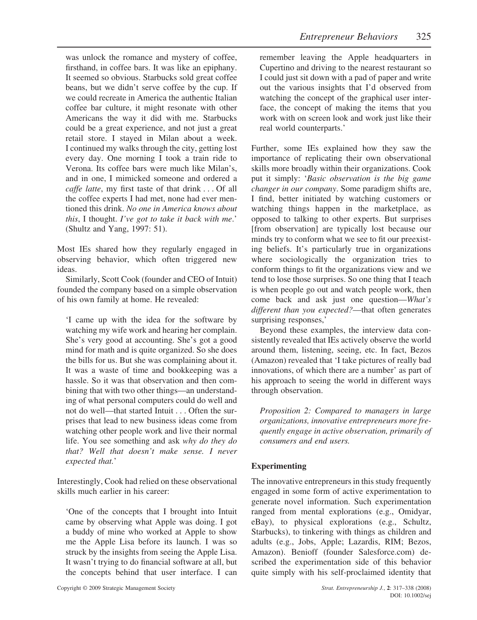was unlock the romance and mystery of coffee, firsthand, in coffee bars. It was like an epiphany. It seemed so obvious. Starbucks sold great coffee beans, but we didn't serve coffee by the cup. If we could recreate in America the authentic Italian coffee bar culture, it might resonate with other Americans the way it did with me. Starbucks could be a great experience, and not just a great retail store. I stayed in Milan about a week. I continued my walks through the city, getting lost every day. One morning I took a train ride to Verona. Its coffee bars were much like Milan's, and in one, I mimicked someone and ordered a *caffe latte*, my first taste of that drink . . . Of all the coffee experts I had met, none had ever mentioned this drink. *No one in America knows about this*, I thought. *I've got to take it back with me*.' (Shultz and Yang, 1997: 51).

Most IEs shared how they regularly engaged in observing behavior, which often triggered new ideas.

Similarly, Scott Cook (founder and CEO of Intuit) founded the company based on a simple observation of his own family at home. He revealed:

'I came up with the idea for the software by watching my wife work and hearing her complain. She's very good at accounting. She's got a good mind for math and is quite organized. So she does the bills for us. But she was complaining about it. It was a waste of time and bookkeeping was a hassle. So it was that observation and then combining that with two other things—an understanding of what personal computers could do well and not do well—that started Intuit . . . Often the surprises that lead to new business ideas come from watching other people work and live their normal life. You see something and ask *why do they do that? Well that doesn't make sense. I never expected that.*'

Interestingly, Cook had relied on these observational skills much earlier in his career:

'One of the concepts that I brought into Intuit came by observing what Apple was doing. I got a buddy of mine who worked at Apple to show me the Apple Lisa before its launch. I was so struck by the insights from seeing the Apple Lisa. It wasn't trying to do financial software at all, but the concepts behind that user interface. I can remember leaving the Apple headquarters in Cupertino and driving to the nearest restaurant so I could just sit down with a pad of paper and write out the various insights that I'd observed from watching the concept of the graphical user interface, the concept of making the items that you work with on screen look and work just like their real world counterparts.'

Further, some IEs explained how they saw the importance of replicating their own observational skills more broadly within their organizations. Cook put it simply: '*Basic observation is the big game changer in our company*. Some paradigm shifts are, I find, better initiated by watching customers or watching things happen in the marketplace, as opposed to talking to other experts. But surprises [from observation] are typically lost because our minds try to conform what we see to fit our preexisting beliefs. It's particularly true in organizations where sociologically the organization tries to conform things to fit the organizations view and we tend to lose those surprises. So one thing that I teach is when people go out and watch people work, then come back and ask just one question—*What's different than you expected?*—that often generates surprising responses,'

Beyond these examples, the interview data consistently revealed that IEs actively observe the world around them, listening, seeing, etc. In fact, Bezos (Amazon) revealed that 'I take pictures of really bad innovations, of which there are a number' as part of his approach to seeing the world in different ways through observation.

*Proposition 2: Compared to managers in large organizations, innovative entrepreneurs more frequently engage in active observation, primarily of consumers and end users.*

## **Experimenting**

The innovative entrepreneurs in this study frequently engaged in some form of active experimentation to generate novel information. Such experimentation ranged from mental explorations (e.g., Omidyar, eBay), to physical explorations (e.g., Schultz, Starbucks), to tinkering with things as children and adults (e.g., Jobs, Apple; Lazardis, RIM; Bezos, Amazon). Benioff (founder Salesforce.com) described the experimentation side of this behavior quite simply with his self-proclaimed identity that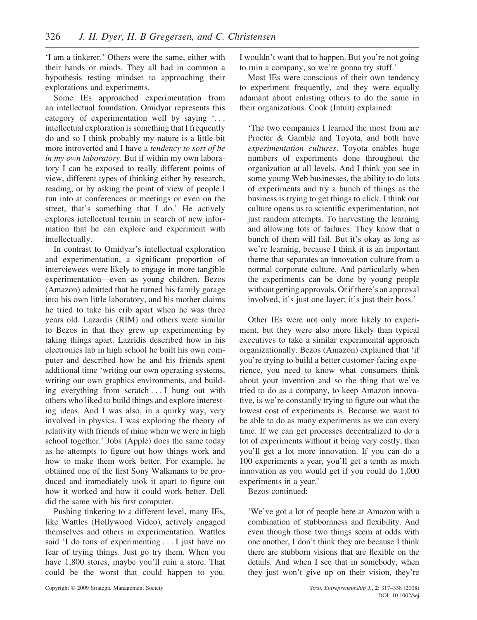'I am a tinkerer.' Others were the same, either with their hands or minds. They all had in common a hypothesis testing mindset to approaching their explorations and experiments.

Some IEs approached experimentation from an intellectual foundation. Omidyar represents this category of experimentation well by saying '... intellectual exploration is something that I frequently do and so I think probably my nature is a little bit more introverted and I have a *tendency to sort of be in my own laboratory*. But if within my own laboratory I can be exposed to really different points of view, different types of thinking either by research, reading, or by asking the point of view of people I run into at conferences or meetings or even on the street, that's something that I do.' He actively explores intellectual terrain in search of new information that he can explore and experiment with intellectually.

In contrast to Omidyar's intellectual exploration and experimentation, a significant proportion of interviewees were likely to engage in more tangible experimentation—even as young children. Bezos (Amazon) admitted that he turned his family garage into his own little laboratory, and his mother claims he tried to take his crib apart when he was three years old. Lazardis (RIM) and others were similar to Bezos in that they grew up experimenting by taking things apart. Lazridis described how in his electronics lab in high school he built his own computer and described how he and his friends spent additional time 'writing our own operating systems, writing our own graphics environments, and building everything from scratch . . . I hung out with others who liked to build things and explore interesting ideas. And I was also, in a quirky way, very involved in physics. I was exploring the theory of relativity with friends of mine when we were in high school together.' Jobs (Apple) does the same today as he attempts to figure out how things work and how to make them work better. For example, he obtained one of the first Sony Walkmans to be produced and immediately took it apart to figure out how it worked and how it could work better. Dell did the same with his first computer.

Pushing tinkering to a different level, many IEs, like Wattles (Hollywood Video), actively engaged themselves and others in experimentation. Wattles said 'I do tons of experimenting . . . I just have no fear of trying things. Just go try them. When you have 1,800 stores, maybe you'll ruin a store. That could be the worst that could happen to you.

I wouldn't want that to happen. But you're not going to ruin a company, so we're gonna try stuff.'

Most IEs were conscious of their own tendency to experiment frequently, and they were equally adamant about enlisting others to do the same in their organizations. Cook (Intuit) explained:

'The two companies I learned the most from are Procter & Gamble and Toyota, and both have *experimentation cultures*. Toyota enables huge numbers of experiments done throughout the organization at all levels. And I think you see in some young Web businesses, the ability to do lots of experiments and try a bunch of things as the business is trying to get things to click. I think our culture opens us to scientific experimentation, not just random attempts. To harvesting the learning and allowing lots of failures. They know that a bunch of them will fail. But it's okay as long as we're learning, because I think it is an important theme that separates an innovation culture from a normal corporate culture. And particularly when the experiments can be done by young people without getting approvals. Or if there's an approval involved, it's just one layer; it's just their boss.'

Other IEs were not only more likely to experiment, but they were also more likely than typical executives to take a similar experimental approach organizationally. Bezos (Amazon) explained that 'if you're trying to build a better customer-facing experience, you need to know what consumers think about your invention and so the thing that we've tried to do as a company, to keep Amazon innovative, is we're constantly trying to figure out what the lowest cost of experiments is. Because we want to be able to do as many experiments as we can every time. If we can get processes decentralized to do a lot of experiments without it being very costly, then you'll get a lot more innovation. If you can do a 100 experiments a year, you'll get a tenth as much innovation as you would get if you could do 1,000 experiments in a year.'

Bezos continued:

'We've got a lot of people here at Amazon with a combination of stubbornness and flexibility. And even though those two things seem at odds with one another, I don't think they are because I think there are stubborn visions that are flexible on the details. And when I see that in somebody, when they just won't give up on their vision, they're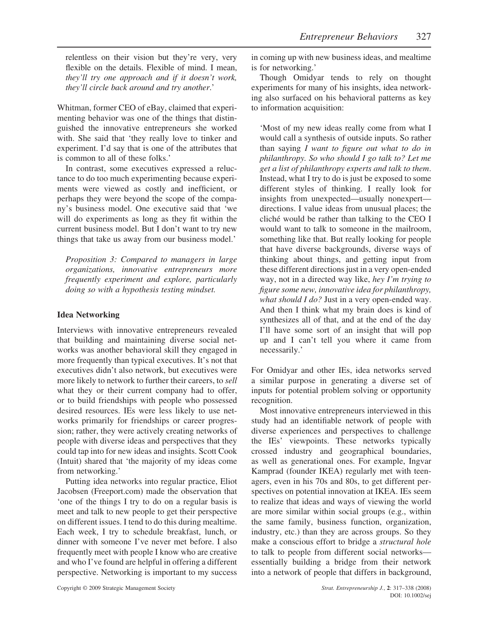relentless on their vision but they're very, very flexible on the details. Flexible of mind. I mean, *they'll try one approach and if it doesn't work, they'll circle back around and try another*.'

Whitman, former CEO of eBay, claimed that experimenting behavior was one of the things that distinguished the innovative entrepreneurs she worked with. She said that 'they really love to tinker and experiment. I'd say that is one of the attributes that is common to all of these folks.'

In contrast, some executives expressed a reluctance to do too much experimenting because experiments were viewed as costly and inefficient, or perhaps they were beyond the scope of the company's business model. One executive said that 'we will do experiments as long as they fit within the current business model. But I don't want to try new things that take us away from our business model.'

*Proposition 3: Compared to managers in large organizations, innovative entrepreneurs more frequently experiment and explore, particularly doing so with a hypothesis testing mindset.*

# **Idea Networking**

Interviews with innovative entrepreneurs revealed that building and maintaining diverse social networks was another behavioral skill they engaged in more frequently than typical executives. It's not that executives didn't also network, but executives were more likely to network to further their careers, to *sell* what they or their current company had to offer, or to build friendships with people who possessed desired resources. IEs were less likely to use networks primarily for friendships or career progression; rather, they were actively creating networks of people with diverse ideas and perspectives that they could tap into for new ideas and insights. Scott Cook (Intuit) shared that 'the majority of my ideas come from networking.'

Putting idea networks into regular practice, Eliot Jacobsen (Freeport.com) made the observation that 'one of the things I try to do on a regular basis is meet and talk to new people to get their perspective on different issues. I tend to do this during mealtime. Each week, I try to schedule breakfast, lunch, or dinner with someone I've never met before. I also frequently meet with people I know who are creative and who I've found are helpful in offering a different perspective. Networking is important to my success

in coming up with new business ideas, and mealtime is for networking.'

Though Omidyar tends to rely on thought experiments for many of his insights, idea networking also surfaced on his behavioral patterns as key to information acquisition:

'Most of my new ideas really come from what I would call a synthesis of outside inputs. So rather than saying *I want to figure out what to do in philanthropy. So who should I go talk to? Let me get a list of philanthropy experts and talk to them*. Instead, what I try to do is just be exposed to some different styles of thinking. I really look for insights from unexpected—usually nonexpert directions. I value ideas from unusual places; the cliché would be rather than talking to the CEO I would want to talk to someone in the mailroom, something like that. But really looking for people that have diverse backgrounds, diverse ways of thinking about things, and getting input from these different directions just in a very open-ended way, not in a directed way like, *hey I'm trying to fi gure some new, innovative idea for philanthropy, what should I do?* Just in a very open-ended way. And then I think what my brain does is kind of synthesizes all of that, and at the end of the day I'll have some sort of an insight that will pop up and I can't tell you where it came from necessarily.'

For Omidyar and other IEs, idea networks served a similar purpose in generating a diverse set of inputs for potential problem solving or opportunity recognition.

Most innovative entrepreneurs interviewed in this study had an identifiable network of people with diverse experiences and perspectives to challenge the IEs' viewpoints. These networks typically crossed industry and geographical boundaries, as well as generational ones. For example, Ingvar Kamprad (founder IKEA) regularly met with teenagers, even in his 70s and 80s, to get different perspectives on potential innovation at IKEA. IEs seem to realize that ideas and ways of viewing the world are more similar within social groups (e.g., within the same family, business function, organization, industry, etc.) than they are across groups. So they make a conscious effort to bridge a *structural hole* to talk to people from different social networks essentially building a bridge from their network into a network of people that differs in background,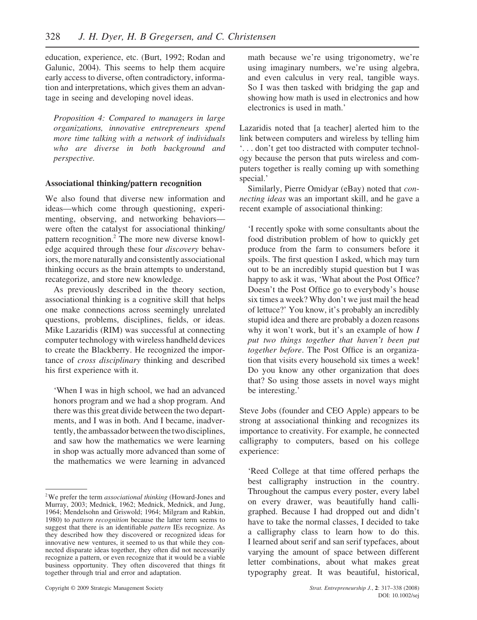education, experience, etc. (Burt, 1992; Rodan and Galunic, 2004). This seems to help them acquire early access to diverse, often contradictory, information and interpretations, which gives them an advantage in seeing and developing novel ideas.

*Proposition 4: Compared to managers in large organizations, innovative entrepreneurs spend more time talking with a network of individuals who are diverse in both background and perspective.*

## **Associational thinking/pattern recognition**

We also found that diverse new information and ideas—which come through questioning, experimenting, observing, and networking behaviors were often the catalyst for associational thinking/ pattern recognition.<sup>2</sup> The more new diverse knowledge acquired through these four *discovery* behaviors, the more naturally and consistently associational thinking occurs as the brain attempts to understand, recategorize, and store new knowledge.

As previously described in the theory section, associational thinking is a cognitive skill that helps one make connections across seemingly unrelated questions, problems, disciplines, fields, or ideas. Mike Lazaridis (RIM) was successful at connecting computer technology with wireless handheld devices to create the Blackberry. He recognized the importance of *cross disciplinary* thinking and described his first experience with it.

'When I was in high school, we had an advanced honors program and we had a shop program. And there was this great divide between the two departments, and I was in both. And I became, inadvertently, the ambassador between the two disciplines, and saw how the mathematics we were learning in shop was actually more advanced than some of the mathematics we were learning in advanced math because we're using trigonometry, we're using imaginary numbers, we're using algebra, and even calculus in very real, tangible ways. So I was then tasked with bridging the gap and showing how math is used in electronics and how electronics is used in math.'

Lazaridis noted that [a teacher] alerted him to the link between computers and wireless by telling him '. . . don't get too distracted with computer technology because the person that puts wireless and computers together is really coming up with something special.'

Similarly, Pierre Omidyar (eBay) noted that *connecting ideas* was an important skill, and he gave a recent example of associational thinking:

'I recently spoke with some consultants about the food distribution problem of how to quickly get produce from the farm to consumers before it spoils. The first question I asked, which may turn out to be an incredibly stupid question but I was happy to ask it was, 'What about the Post Office? Doesn't the Post Office go to everybody's house six times a week? Why don't we just mail the head of lettuce?' You know, it's probably an incredibly stupid idea and there are probably a dozen reasons why it won't work, but it's an example of how *I put two things together that haven't been put together before*. The Post Office is an organization that visits every household six times a week! Do you know any other organization that does that? So using those assets in novel ways might be interesting.'

Steve Jobs (founder and CEO Apple) appears to be strong at associational thinking and recognizes its importance to creativity. For example, he connected calligraphy to computers, based on his college experience:

'Reed College at that time offered perhaps the best calligraphy instruction in the country. Throughout the campus every poster, every label on every drawer, was beautifully hand calligraphed. Because I had dropped out and didn't have to take the normal classes, I decided to take a calligraphy class to learn how to do this. I learned about serif and san serif typefaces, about varying the amount of space between different letter combinations, about what makes great typography great. It was beautiful, historical,

<sup>2</sup>We prefer the term *associational thinking* (Howard-Jones and Murray, 2003; Mednick, 1962; Mednick, Mednick, and Jung, 1964; Mendelsohn and Griswold; 1964; Milgram and Rabkin, 1980) to *pattern recognition* because the latter term seems to suggest that there is an identifiable *pattern* IEs recognize. As they described how they discovered or recognized ideas for innovative new ventures, it seemed to us that while they connected disparate ideas together, they often did not necessarily recognize a pattern, or even recognize that it would be a viable business opportunity. They often discovered that things fit together through trial and error and adaptation.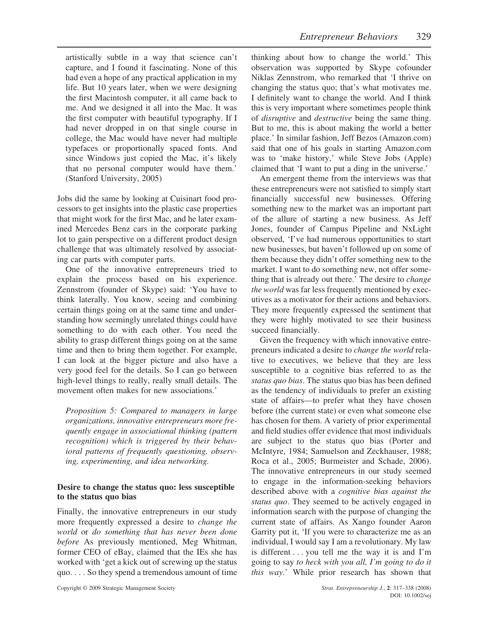artistically subtle in a way that science can't capture, and I found it fascinating. None of this had even a hope of any practical application in my life. But 10 years later, when we were designing the first Macintosh computer, it all came back to me. And we designed it all into the Mac. It was the first computer with beautiful typography. If I had never dropped in on that single course in college, the Mac would have never had multiple typefaces or proportionally spaced fonts. And since Windows just copied the Mac, it's likely that no personal computer would have them.' (Stanford University, 2005)

Jobs did the same by looking at Cuisinart food processors to get insights into the plastic case properties that might work for the first Mac, and he later examined Mercedes Benz cars in the corporate parking lot to gain perspective on a different product design challenge that was ultimately resolved by associating car parts with computer parts.

One of the innovative entrepreneurs tried to explain the process based on his experience. Zennstrom (founder of Skype) said: 'You have to think laterally. You know, seeing and combining certain things going on at the same time and understanding how seemingly unrelated things could have something to do with each other. You need the ability to grasp different things going on at the same time and then to bring them together. For example, I can look at the bigger picture and also have a very good feel for the details. So I can go between high-level things to really, really small details. The movement often makes for new associations.'

*Proposition 5: Compared to managers in large organizations, innovative entrepreneurs more frequently engage in associational thinking (pattern recognition) which is triggered by their behavioral patterns of frequently questioning, observing, experimenting, and idea networking.*

## **Desire to change the status quo: less susceptible to the status quo bias**

Finally, the innovative entrepreneurs in our study more frequently expressed a desire to *change the world* or *do something that has never been done before* As previously mentioned, Meg Whitman, former CEO of eBay, claimed that the IEs she has worked with 'get a kick out of screwing up the status quo. . . . So they spend a tremendous amount of time

thinking about how to change the world.' This observation was supported by Skype cofounder Niklas Zennstrom, who remarked that 'I thrive on changing the status quo; that's what motivates me. I definitely want to change the world. And I think this is very important where sometimes people think of *disruptive* and *destructive* being the same thing. But to me, this is about making the world a better place.' In similar fashion, Jeff Bezos (Amazon.com) said that one of his goals in starting Amazon.com was to 'make history,' while Steve Jobs (Apple) claimed that 'I want to put a ding in the universe.'

An emergent theme from the interviews was that these entrepreneurs were not satisfied to simply start financially successful new businesses. Offering something new to the market was an important part of the allure of starting a new business. As Jeff Jones, founder of Campus Pipeline and NxLight observed, 'I've had numerous opportunities to start new businesses, but haven't followed up on some of them because they didn't offer something new to the market. I want to do something new, not offer something that is already out there.' The desire to *change the world* was far less frequently mentioned by executives as a motivator for their actions and behaviors. They more frequently expressed the sentiment that they were highly motivated to see their business succeed financially.

Given the frequency with which innovative entrepreneurs indicated a desire to *change the world* relative to executives, we believe that they are less susceptible to a cognitive bias referred to as the *status quo bias*. The status quo bias has been defined as the tendency of individuals to prefer an existing state of affairs—to prefer what they have chosen before (the current state) or even what someone else has chosen for them. A variety of prior experimental and field studies offer evidence that most individuals are subject to the status quo bias (Porter and McIntyre, 1984; Samuelson and Zeckhauser, 1988; Roca et al., 2005; Burmeister and Schade, 2006). The innovative entrepreneurs in our study seemed to engage in the information-seeking behaviors described above with a *cognitive bias against the status quo*. They seemed to be actively engaged in information search with the purpose of changing the current state of affairs. As Xango founder Aaron Garrity put it, 'If you were to characterize me as an individual, I would say I am a revolutionary. My law is different . . . you tell me the way it is and I'm going to say *to heck with you all, I'm going to do it this way*.' While prior research has shown that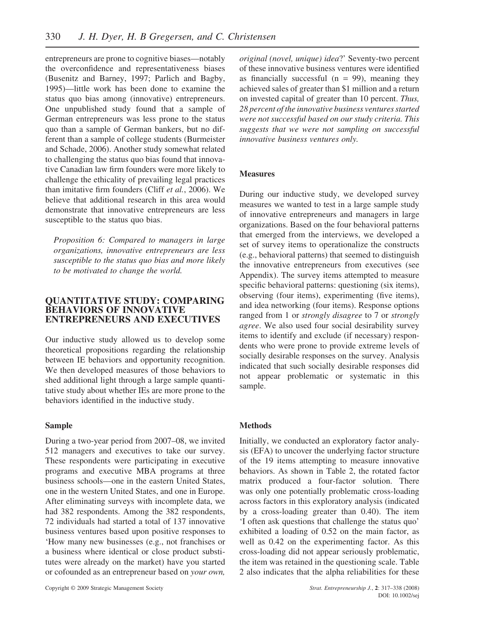entrepreneurs are prone to cognitive biases—notably the overconfidence and representativeness biases (Busenitz and Barney, 1997; Parlich and Bagby, 1995)—little work has been done to examine the status quo bias among (innovative) entrepreneurs. One unpublished study found that a sample of German entrepreneurs was less prone to the status quo than a sample of German bankers, but no different than a sample of college students (Burmeister and Schade, 2006). Another study somewhat related to challenging the status quo bias found that innovative Canadian law firm founders were more likely to challenge the ethicality of prevailing legal practices than imitative firm founders (Cliff *et al.*, 2006). We believe that additional research in this area would demonstrate that innovative entrepreneurs are less susceptible to the status quo bias.

*Proposition 6: Compared to managers in large organizations, innovative entrepreneurs are less susceptible to the status quo bias and more likely to be motivated to change the world.*

## **QUANTITATIVE STUDY: COMPARING BEHAVIORS OF INNOVATIVE ENTREPRENEURS AND EXECUTIVES**

Our inductive study allowed us to develop some theoretical propositions regarding the relationship between IE behaviors and opportunity recognition. We then developed measures of those behaviors to shed additional light through a large sample quantitative study about whether IEs are more prone to the behaviors identified in the inductive study.

## **Sample**

During a two-year period from 2007–08, we invited 512 managers and executives to take our survey. These respondents were participating in executive programs and executive MBA programs at three business schools—one in the eastern United States, one in the western United States, and one in Europe. After eliminating surveys with incomplete data, we had 382 respondents. Among the 382 respondents, 72 individuals had started a total of 137 innovative business ventures based upon positive responses to 'How many new businesses (e.g., not franchises or a business where identical or close product substitutes were already on the market) have you started or cofounded as an entrepreneur based on *your own,* 

Copyright © 2009 Strategic Management Society *Strat. Entrepreneurship J.*, **2**: 317–338 (2008)

*original (novel, unique) idea*?' Seventy-two percent of these innovative business ventures were identified as financially successful  $(n = 99)$ , meaning they achieved sales of greater than \$1 million and a return on invested capital of greater than 10 percent. *Thus, 28 percent of the innovative business ventures started were not successful based on our study criteria. This suggests that we were not sampling on successful innovative business ventures only.*

#### **Measures**

During our inductive study, we developed survey measures we wanted to test in a large sample study of innovative entrepreneurs and managers in large organizations. Based on the four behavioral patterns that emerged from the interviews, we developed a set of survey items to operationalize the constructs (e.g., behavioral patterns) that seemed to distinguish the innovative entrepreneurs from executives (see Appendix). The survey items attempted to measure specific behavioral patterns: questioning (six items), observing (four items), experimenting (five items), and idea networking (four items). Response options ranged from 1 or *strongly disagree* to 7 or *strongly agree*. We also used four social desirability survey items to identify and exclude (if necessary) respondents who were prone to provide extreme levels of socially desirable responses on the survey. Analysis indicated that such socially desirable responses did not appear problematic or systematic in this sample.

#### **Methods**

Initially, we conducted an exploratory factor analysis (EFA) to uncover the underlying factor structure of the 19 items attempting to measure innovative behaviors. As shown in Table 2, the rotated factor matrix produced a four-factor solution. There was only one potentially problematic cross-loading across factors in this exploratory analysis (indicated by a cross-loading greater than 0.40). The item 'I often ask questions that challenge the status quo' exhibited a loading of 0.52 on the main factor, as well as 0.42 on the experimenting factor. As this cross-loading did not appear seriously problematic, the item was retained in the questioning scale. Table 2 also indicates that the alpha reliabilities for these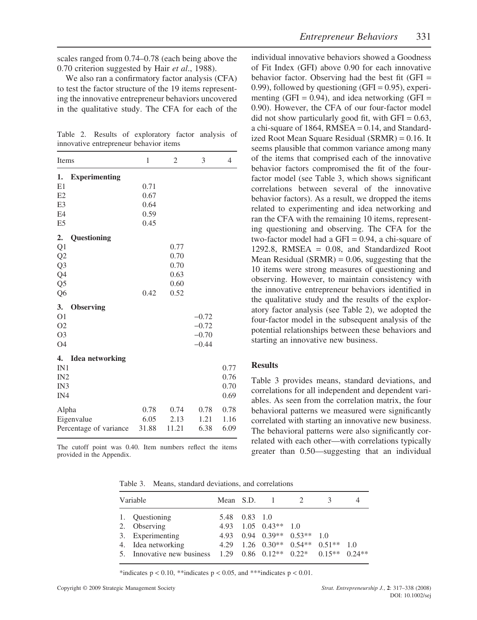scales ranged from 0.74–0.78 (each being above the 0.70 criterion suggested by Hair *et al*., 1988).

We also ran a confirmatory factor analysis (CFA) to test the factor structure of the 19 items representing the innovative entrepreneur behaviors uncovered in the qualitative study. The CFA for each of the

Table 2. Results of exploratory factor analysis of innovative entrepreneur behavior items

| Items           |                        | $\mathbf{1}$ | $\mathfrak{2}$ | 3       | 4    |
|-----------------|------------------------|--------------|----------------|---------|------|
| 1.              | <b>Experimenting</b>   |              |                |         |      |
| E1              |                        | 0.71         |                |         |      |
| E2              |                        | 0.67         |                |         |      |
| E3              |                        | 0.64         |                |         |      |
| E4              |                        | 0.59         |                |         |      |
| E <sub>5</sub>  |                        | 0.45         |                |         |      |
| 2.              | Questioning            |              |                |         |      |
| Q1              |                        |              | 0.77           |         |      |
| Q2              |                        |              | 0.70           |         |      |
| $\frac{Q3}{Q4}$ |                        |              | 0.70           |         |      |
|                 |                        |              | 0.63           |         |      |
| Q <sub>5</sub>  |                        |              | 0.60           |         |      |
| Q <sub>6</sub>  |                        | 0.42         | 0.52           |         |      |
| 3.              | <b>Observing</b>       |              |                |         |      |
| O <sub>1</sub>  |                        |              |                | $-0.72$ |      |
| O <sub>2</sub>  |                        |              |                | $-0.72$ |      |
| O <sub>3</sub>  |                        |              |                | $-0.70$ |      |
| O4              |                        |              |                | $-0.44$ |      |
| 4.              | <b>Idea</b> networking |              |                |         |      |
| IN1             |                        |              |                |         | 0.77 |
| IN2             |                        |              |                |         | 0.76 |
| IN3             |                        |              |                |         | 0.70 |
| IN4             |                        |              |                |         | 0.69 |
| Alpha           |                        | 0.78         | 0.74           | 0.78    | 0.78 |
|                 | Eigenvalue             | 6.05         | 2.13           | 1.21    | 1.16 |
|                 | Percentage of variance | 31.88        | 11.21          | 6.38    | 6.09 |

The cutoff point was 0.40. Item numbers reflect the items provided in the Appendix.

individual innovative behaviors showed a Goodness of Fit Index (GFI) above 0.90 for each innovative behavior factor. Observing had the best fit  $(GFI =$ 0.99), followed by questioning  $(GFI = 0.95)$ , experimenting (GFI =  $0.94$ ), and idea networking (GFI = 0.90). However, the CFA of our four-factor model did not show particularly good fit, with  $GFI = 0.63$ , a chi-square of 1864,  $RMSEA = 0.14$ , and Standardized Root Mean Square Residual  $(SRMR) = 0.16$ . It seems plausible that common variance among many of the items that comprised each of the innovative behavior factors compromised the fit of the fourfactor model (see Table 3, which shows significant correlations between several of the innovative behavior factors). As a result, we dropped the items related to experimenting and idea networking and ran the CFA with the remaining 10 items, representing questioning and observing. The CFA for the two-factor model had a GFI  $= 0.94$ , a chi-square of 1292.8, RMSEA = 0.08, and Standardized Root Mean Residual (SRMR) =  $0.06$ , suggesting that the 10 items were strong measures of questioning and observing. However, to maintain consistency with the innovative entrepreneur behaviors identified in the qualitative study and the results of the exploratory factor analysis (see Table 2), we adopted the four-factor model in the subsequent analysis of the potential relationships between these behaviors and starting an innovative new business.

#### **Results**

Table 3 provides means, standard deviations, and correlations for all independent and dependent variables. As seen from the correlation matrix, the four behavioral patterns we measured were significantly correlated with starting an innovative new business. The behavioral patterns were also significantly correlated with each other—with correlations typically greater than 0.50—suggesting that an individual

Table 3. Means, standard deviations, and correlations

|    | Variable                | Mean $S.D.$ 1 |                  |                     |                                   |                 |          |
|----|-------------------------|---------------|------------------|---------------------|-----------------------------------|-----------------|----------|
|    | 1. Questioning          | 5.48          | $0.83 \quad 1.0$ |                     |                                   |                 |          |
|    | 2. Observing            | 4.93          |                  | $1.05 \quad 0.43**$ | $\sqrt{10}$                       |                 |          |
|    | 3. Experimenting        | 4.93          |                  |                     | $0.94$ $0.39**$ $0.53**$          | $\overline{10}$ |          |
| 4. | Idea networking         | 4.29          |                  |                     | $1.26$ $0.30**$ $0.54**$ $0.51**$ |                 | 1 Q      |
| 5. | Innovative new business |               |                  |                     | $1.29$ 0.86 0.12** 0.22* 0.15**   |                 | $0.24**$ |

\*indicates  $p < 0.10$ , \*\*indicates  $p < 0.05$ , and \*\*\*indicates  $p < 0.01$ .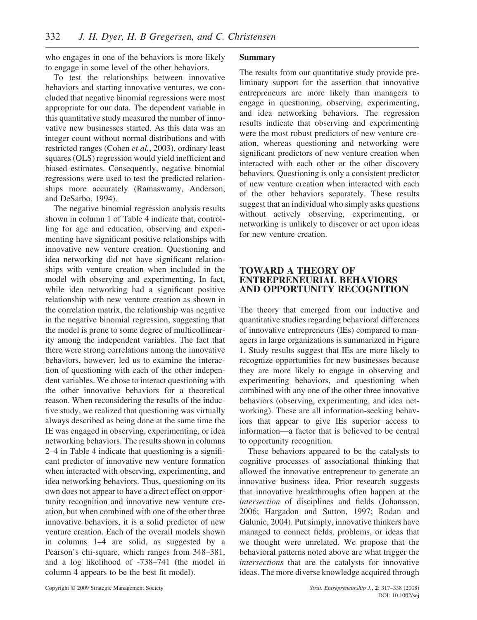who engages in one of the behaviors is more likely to engage in some level of the other behaviors.

To test the relationships between innovative behaviors and starting innovative ventures, we concluded that negative binomial regressions were most appropriate for our data. The dependent variable in this quantitative study measured the number of innovative new businesses started. As this data was an integer count without normal distributions and with restricted ranges (Cohen *et al.*, 2003), ordinary least squares (OLS) regression would yield inefficient and biased estimates. Consequently, negative binomial regressions were used to test the predicted relationships more accurately (Ramaswamy, Anderson, and DeSarbo, 1994).

The negative binomial regression analysis results shown in column 1 of Table 4 indicate that, controlling for age and education, observing and experimenting have significant positive relationships with innovative new venture creation. Questioning and idea networking did not have significant relationships with venture creation when included in the model with observing and experimenting. In fact, while idea networking had a significant positive relationship with new venture creation as shown in the correlation matrix, the relationship was negative in the negative binomial regression, suggesting that the model is prone to some degree of multicollinearity among the independent variables. The fact that there were strong correlations among the innovative behaviors, however, led us to examine the interaction of questioning with each of the other independent variables. We chose to interact questioning with the other innovative behaviors for a theoretical reason. When reconsidering the results of the inductive study, we realized that questioning was virtually always described as being done at the same time the IE was engaged in observing, experimenting, or idea networking behaviors. The results shown in columns 2–4 in Table 4 indicate that questioning is a significant predictor of innovative new venture formation when interacted with observing, experimenting, and idea networking behaviors. Thus, questioning on its own does not appear to have a direct effect on opportunity recognition and innovative new venture creation, but when combined with one of the other three innovative behaviors, it is a solid predictor of new venture creation. Each of the overall models shown in columns 1–4 are solid, as suggested by a Pearson's chi-square, which ranges from 348–381, and a log likelihood of -738–741 (the model in column 4 appears to be the best fit model).

#### **Summary**

The results from our quantitative study provide preliminary support for the assertion that innovative entrepreneurs are more likely than managers to engage in questioning, observing, experimenting, and idea networking behaviors. The regression results indicate that observing and experimenting were the most robust predictors of new venture creation, whereas questioning and networking were significant predictors of new venture creation when interacted with each other or the other discovery behaviors. Questioning is only a consistent predictor of new venture creation when interacted with each of the other behaviors separately. These results suggest that an individual who simply asks questions without actively observing, experimenting, or networking is unlikely to discover or act upon ideas for new venture creation.

## **TOWARD A THEORY OF ENTREPRENEURIAL BEHAVIORS AND OPPORTUNITY RECOGNITION**

The theory that emerged from our inductive and quantitative studies regarding behavioral differences of innovative entrepreneurs (IEs) compared to managers in large organizations is summarized in Figure 1. Study results suggest that IEs are more likely to recognize opportunities for new businesses because they are more likely to engage in observing and experimenting behaviors, and questioning when combined with any one of the other three innovative behaviors (observing, experimenting, and idea networking). These are all information-seeking behaviors that appear to give IEs superior access to information—a factor that is believed to be central to opportunity recognition.

These behaviors appeared to be the catalysts to cognitive processes of associational thinking that allowed the innovative entrepreneur to generate an innovative business idea. Prior research suggests that innovative breakthroughs often happen at the *intersection* of disciplines and fields (Johansson, 2006; Hargadon and Sutton, 1997; Rodan and Galunic, 2004). Put simply, innovative thinkers have managed to connect fields, problems, or ideas that we thought were unrelated. We propose that the behavioral patterns noted above are what trigger the *intersections* that are the catalysts for innovative ideas. The more diverse knowledge acquired through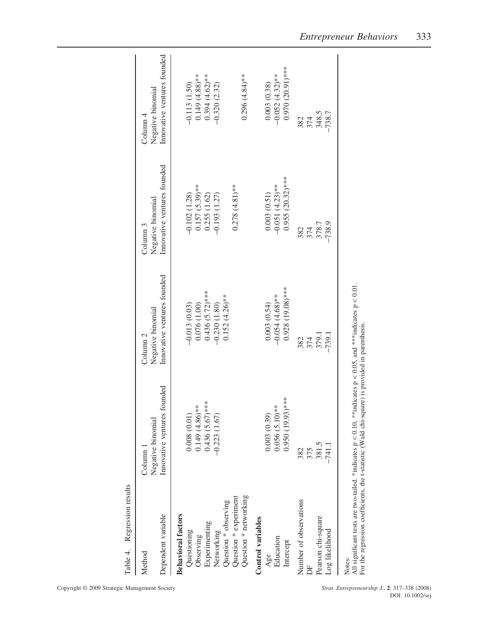| Regression results<br>Table 4. |                                                                                                                     |                                                  |                                                  |                                                  |
|--------------------------------|---------------------------------------------------------------------------------------------------------------------|--------------------------------------------------|--------------------------------------------------|--------------------------------------------------|
| Method                         | Column <sub>1</sub>                                                                                                 | Column <sub>2</sub>                              | Column 3                                         | $\text{Column } 4$                               |
| Dependent variable             | Innovative ventures founded<br>Negative binomial                                                                    | Innovative ventures founded<br>Negative binomial | Innovative ventures founded<br>Negative binomial | Innovative ventures founded<br>Negative binomial |
| <b>Behavioral factors</b>      |                                                                                                                     |                                                  |                                                  |                                                  |
| Questioning                    | (0.01)<br>0.008                                                                                                     | $-0.013(0.03)$                                   | $-0.102(1.28)$                                   | $-0.113(1.50)$                                   |
| Observing                      | $(4.86)$ **<br>0.149                                                                                                | 0.076(1.00)                                      | $0.157(5.39)$ **                                 | $0.149(4.88)$ **                                 |
| Experimenting                  | $(5.67)$ ***<br>0.436                                                                                               | $0.436(5.72)$ ***                                | 0.255(1.62)                                      | $0.394(4.62)$ **                                 |
| Networking                     | (1.67)<br>$-0.223$                                                                                                  | $-0.230(1.80)$                                   | $-0.193$ $(1.27)$                                | $-0.320(2.32)$                                   |
| Question * observing           |                                                                                                                     | $0.152(4.26)$ **                                 |                                                  |                                                  |
| Question * experiment          |                                                                                                                     |                                                  | $0.278(4.81)$ **                                 |                                                  |
| Question * networking          |                                                                                                                     |                                                  |                                                  | $0.296(4.84)$ **                                 |
| Control variables              |                                                                                                                     |                                                  |                                                  |                                                  |
| Age                            | 0.003(0.39)                                                                                                         | 0.003(0.54)                                      | 0.003(0.51)                                      | 0.003(0.38)                                      |
| Education                      | $(5.10)$ **<br>0.056                                                                                                | $-0.054$ (4.68)**                                | $-0.051(4.23)$ **                                | $-0.052(4.32)$ **                                |
| Intercept                      | $(19.93)$ ***<br>0.950                                                                                              | $0.928(19.08)$ ***                               | $0.955(20.32)$ ***                               | $0.970(20.91)$ ***                               |
| Number of observations         | 382                                                                                                                 | 382                                              | 382                                              | 382                                              |
|                                | 375                                                                                                                 | 374                                              | 374                                              | 374                                              |
| Pearson chi-square             | 381.5                                                                                                               | 379.1                                            | 378.7                                            | 348.5                                            |
| Log likelihood                 | $-741.1$                                                                                                            | $-739.1$                                         | $-738.9$                                         | $-738.7$                                         |
| Notes:                         | All significant tests are two-tailed. *indicates $p < 0.10$ , **indicates $p < 0.05$ , and **indicates $p < 0.01$ . |                                                  |                                                  |                                                  |

For the regression coefficients, the t-statistic (Wald chi-square) is provided in parenthesis.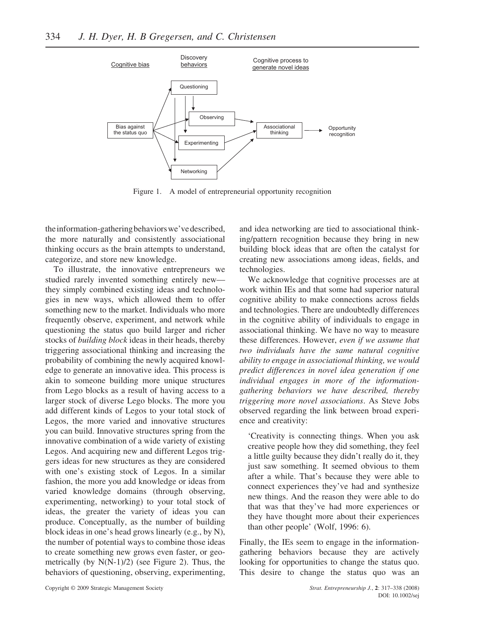

Figure 1. A model of entrepreneurial opportunity recognition

the information-gathering behaviors we've described, the more naturally and consistently associational thinking occurs as the brain attempts to understand, categorize, and store new knowledge.

To illustrate, the innovative entrepreneurs we studied rarely invented something entirely new they simply combined existing ideas and technologies in new ways, which allowed them to offer something new to the market. Individuals who more frequently observe, experiment, and network while questioning the status quo build larger and richer stocks of *building block* ideas in their heads, thereby triggering associational thinking and increasing the probability of combining the newly acquired knowledge to generate an innovative idea. This process is akin to someone building more unique structures from Lego blocks as a result of having access to a larger stock of diverse Lego blocks. The more you add different kinds of Legos to your total stock of Legos, the more varied and innovative structures you can build. Innovative structures spring from the innovative combination of a wide variety of existing Legos. And acquiring new and different Legos triggers ideas for new structures as they are considered with one's existing stock of Legos. In a similar fashion, the more you add knowledge or ideas from varied knowledge domains (through observing, experimenting, networking) to your total stock of ideas, the greater the variety of ideas you can produce. Conceptually, as the number of building block ideas in one's head grows linearly (e.g., by N), the number of potential ways to combine those ideas to create something new grows even faster, or geometrically (by  $N(N-1)/2$ ) (see Figure 2). Thus, the behaviors of questioning, observing, experimenting,

and idea networking are tied to associational thinking/pattern recognition because they bring in new building block ideas that are often the catalyst for creating new associations among ideas, fields, and technologies.

We acknowledge that cognitive processes are at work within IEs and that some had superior natural cognitive ability to make connections across fields and technologies. There are undoubtedly differences in the cognitive ability of individuals to engage in associational thinking. We have no way to measure these differences. However, *even if we assume that two individuals have the same natural cognitive ability to engage in associational thinking, we would predict differences in novel idea generation if one individual engages in more of the informationgathering behaviors we have described, thereby triggering more novel associations*. As Steve Jobs observed regarding the link between broad experience and creativity:

'Creativity is connecting things. When you ask creative people how they did something, they feel a little guilty because they didn't really do it, they just saw something. It seemed obvious to them after a while. That's because they were able to connect experiences they've had and synthesize new things. And the reason they were able to do that was that they've had more experiences or they have thought more about their experiences than other people' (Wolf, 1996: 6).

Finally, the IEs seem to engage in the informationgathering behaviors because they are actively looking for opportunities to change the status quo. This desire to change the status quo was an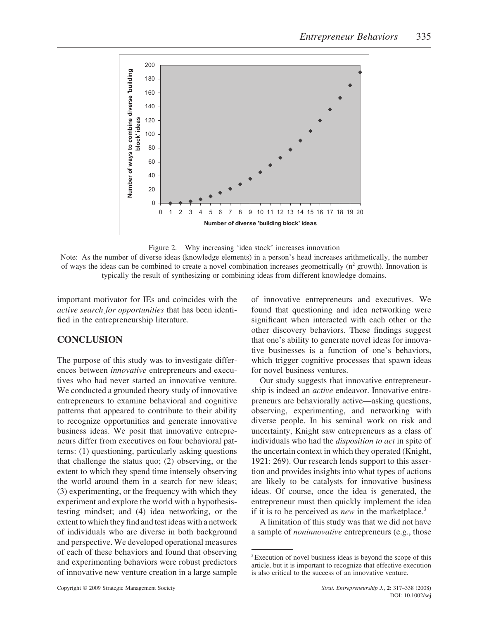

Figure 2. Why increasing 'idea stock' increases innovation

Note: As the number of diverse ideas (knowledge elements) in a person's head increases arithmetically, the number of ways the ideas can be combined to create a novel combination increases geometrically  $(n^2$  growth). Innovation is typically the result of synthesizing or combining ideas from different knowledge domains.

important motivator for IEs and coincides with the *active search for opportunities* that has been identified in the entrepreneurship literature.

# **CONCLUSION**

The purpose of this study was to investigate differences between *innovative* entrepreneurs and executives who had never started an innovative venture. We conducted a grounded theory study of innovative entrepreneurs to examine behavioral and cognitive patterns that appeared to contribute to their ability to recognize opportunities and generate innovative business ideas. We posit that innovative entrepreneurs differ from executives on four behavioral patterns: (1) questioning, particularly asking questions that challenge the status quo; (2) observing, or the extent to which they spend time intensely observing the world around them in a search for new ideas; (3) experimenting, or the frequency with which they experiment and explore the world with a hypothesistesting mindset; and (4) idea networking, or the extent to which they find and test ideas with a network of individuals who are diverse in both background and perspective. We developed operational measures of each of these behaviors and found that observing and experimenting behaviors were robust predictors of innovative new venture creation in a large sample

of innovative entrepreneurs and executives. We found that questioning and idea networking were significant when interacted with each other or the other discovery behaviors. These findings suggest that one's ability to generate novel ideas for innovative businesses is a function of one's behaviors, which trigger cognitive processes that spawn ideas for novel business ventures.

Our study suggests that innovative entrepreneurship is indeed an *active* endeavor. Innovative entrepreneurs are behaviorally active—asking questions, observing, experimenting, and networking with diverse people. In his seminal work on risk and uncertainty, Knight saw entrepreneurs as a class of individuals who had the *disposition to act* in spite of the uncertain context in which they operated (Knight, 1921: 269). Our research lends support to this assertion and provides insights into what types of actions are likely to be catalysts for innovative business ideas. Of course, once the idea is generated, the entrepreneur must then quickly implement the idea if it is to be perceived as *new* in the marketplace.<sup>3</sup>

A limitation of this study was that we did not have a sample of *noninnovative* entrepreneurs (e.g., those

<sup>&</sup>lt;sup>3</sup>Execution of novel business ideas is beyond the scope of this article, but it is important to recognize that effective execution is also critical to the success of an innovative venture.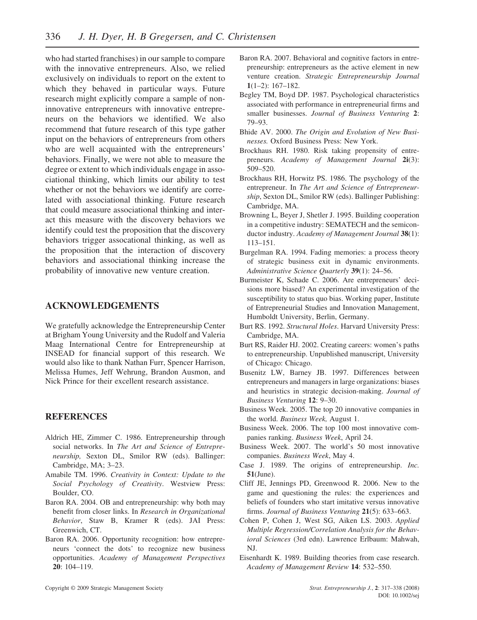who had started franchises) in our sample to compare with the innovative entrepreneurs. Also, we relied exclusively on individuals to report on the extent to which they behaved in particular ways. Future research might explicitly compare a sample of noninnovative entrepreneurs with innovative entrepreneurs on the behaviors we identified. We also recommend that future research of this type gather input on the behaviors of entrepreneurs from others who are well acquainted with the entrepreneurs' behaviors. Finally, we were not able to measure the degree or extent to which individuals engage in associational thinking, which limits our ability to test whether or not the behaviors we identify are correlated with associational thinking. Future research that could measure associational thinking and interact this measure with the discovery behaviors we identify could test the proposition that the discovery behaviors trigger assocational thinking, as well as the proposition that the interaction of discovery behaviors and associational thinking increase the probability of innovative new venture creation.

## **ACKNOWLEDGEMENTS**

We gratefully acknowledge the Entrepreneurship Center at Brigham Young University and the Rudolf and Valeria Maag International Centre for Entrepreneurship at INSEAD for financial support of this research. We would also like to thank Nathan Furr, Spencer Harrison, Melissa Humes, Jeff Wehrung, Brandon Ausmon, and Nick Prince for their excellent research assistance.

## **REFERENCES**

- Aldrich HE, Zimmer C. 1986. Entrepreneurship through social networks. In *The Art and Science of Entrepreneurship,* Sexton DL, Smilor RW (eds). Ballinger: Cambridge, MA; 3–23.
- Amabile TM. 1996. *Creativity in Context: Update to the Social Psychology of Creativity*. Westview Press: Boulder, CO.
- Baron RA. 2004. OB and entrepreneurship: why both may benefit from closer links. In *Research in Organizational Behavior*, Staw B, Kramer R (eds). JAI Press: Greenwich, CT.
- Baron RA. 2006. Opportunity recognition: how entrepreneurs 'connect the dots' to recognize new business opportunities. *Academy of Management Perspectives* **20**: 104–119.
- Baron RA. 2007. Behavioral and cognitive factors in entrepreneurship: entrepreneurs as the active element in new venture creation. *Strategic Entrepreneurship Journal*  **1**(1–2): 167–182.
- Begley TM, Boyd DP. 1987. Psychological characteristics associated with performance in entrepreneurial firms and smaller businesses. *Journal of Business Venturing* **2**: 79–93.
- Bhide AV. 2000. *The Origin and Evolution of New Businesses.* Oxford Business Press: New York.
- Brockhaus RH. 1980. Risk taking propensity of entrepreneurs. *Academy of Management Journal* **2i**(3): 509–520.
- Brockhaus RH, Horwitz PS. 1986. The psychology of the entrepreneur. In *The Art and Science of Entrepreneurship*, Sexton DL, Smilor RW (eds). Ballinger Publishing: Cambridge, MA.
- Browning L, Beyer J, Shetler J. 1995. Building cooperation in a competitive industry: SEMATECH and the semiconductor industry. *Academy of Management Journal* **38**(1): 113–151.
- Burgelman RA. 1994. Fading memories: a process theory of strategic business exit in dynamic environments. *Administrative Science Quarterly* **39**(1): 24–56.
- Burmeister K, Schade C. 2006. Are entrepreneurs' decisions more biased? An experimental investigation of the susceptibility to status quo bias. Working paper, Institute of Entrepreneurial Studies and Innovation Management, Humboldt University, Berlin, Germany.
- Burt RS. 1992. *Structural Holes*. Harvard University Press: Cambridge, MA.
- Burt RS, Raider HJ. 2002. Creating careers: women's paths to entrepreneurship. Unpublished manuscript, University of Chicago: Chicago.
- Busenitz LW, Barney JB. 1997. Differences between entrepreneurs and managers in large organizations: biases and heuristics in strategic decision-making. *Journal of Business Venturing* **12**: 9–30.
- Business Week. 2005. The top 20 innovative companies in the world. *Business Week,* August 1.
- Business Week. 2006. The top 100 most innovative companies ranking. *Business Week*, April 24.
- Business Week. 2007. The world's 50 most innovative companies. *Business Week*, May 4.
- Case J. 1989. The origins of entrepreneurship. *Inc.* **51**(June).
- Cliff JE, Jennings PD, Greenwood R. 2006. New to the game and questioning the rules: the experiences and beliefs of founders who start imitative versus innovative firms. *Journal of Business Venturing* **21**(5): 633–663.
- Cohen P, Cohen J, West SG, Aiken LS. 2003. *Applied Multiple Regression/Correlation Analysis for the Behavioral Sciences* (3rd edn). Lawrence Erlbaum: Mahwah, NJ.
- Eisenhardt K. 1989. Building theories from case research. *Academy of Management Review* **14**: 532–550.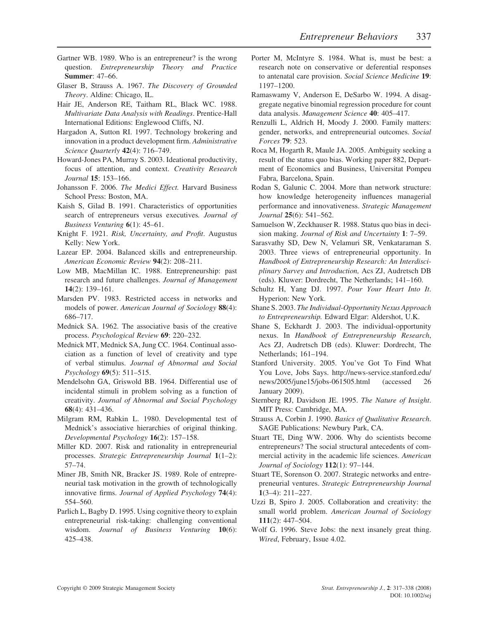- Gartner WB. 1989. Who is an entrepreneur? is the wrong question. *Entrepreneurship Theory and Practice* **Summer**: 47–66.
- Glaser B, Strauss A. 1967. *The Discovery of Grounded Theory*. Aldine: Chicago, IL.
- Hair JE, Anderson RE, Taitham RL, Black WC. 1988. *Multivariate Data Analysis with Readings*. Prentice-Hall International Editions: Englewood Cliffs, NJ.
- Hargadon A, Sutton RI. 1997. Technology brokering and innovation in a product development firm. *Administrative Science Quarterly* **42**(4): 716–749.
- Howard-Jones PA, Murray S. 2003. Ideational productivity, focus of attention, and context. *Creativity Research Journal* **15**: 153–166.
- Johansson F. 2006. *The Medici Effect.* Harvard Business School Press: Boston, MA.
- Kaish S, Gilad B. 1991. Characteristics of opportunities search of entrepreneurs versus executives*. Journal of Business Venturing* **6**(1): 45–61.
- Knight F. 1921. *Risk, Uncertainty, and Profit*. Augustus Kelly: New York.
- Lazear EP. 2004. Balanced skills and entrepreneurship. *American Economic Review* **94**(2): 208–211.
- Low MB, MacMillan IC. 1988. Entrepreneurship: past research and future challenges. *Journal of Management* **14**(2): 139–161.
- Marsden PV. 1983. Restricted access in networks and models of power. *American Journal of Sociology* **88**(4): 686–717.
- Mednick SA. 1962. The associative basis of the creative process. *Psychological Review* **69**: 220–232.
- Mednick MT, Mednick SA, Jung CC. 1964. Continual association as a function of level of creativity and type of verbal stimulus. *Journal of Abnormal and Social Psychology* **69**(5): 511–515.
- Mendelsohn GA, Griswold BB. 1964. Differential use of incidental stimuli in problem solving as a function of creativity. *Journal of Abnormal and Social Psychology*  **68**(4): 431–436.
- Milgram RM, Rabkin L. 1980. Developmental test of Mednick's associative hierarchies of original thinking. *Developmental Psychology* **16**(2): 157–158.
- Miller KD. 2007. Risk and rationality in entrepreneurial processes. *Strategic Entrepreneurship Journal* **1**(1–2): 57–74.
- Miner JB, Smith NR, Bracker JS. 1989. Role of entrepreneurial task motivation in the growth of technologically innovative firms. *Journal of Applied Psychology* **74**(4): 554–560.
- Parlich L, Bagby D. 1995. Using cognitive theory to explain entrepreneurial risk-taking: challenging conventional wisdom. *Journal of Business Venturing* **10**(6): 425–438.
- Porter M, McIntyre S. 1984. What is, must be best: a research note on conservative or deferential responses to antenatal care provision. *Social Science Medicine* **19**: 1197–1200.
- Ramaswamy V, Anderson E, DeSarbo W. 1994. A disaggregate negative binomial regression procedure for count data analysis. *Management Science* **40**: 405–417.
- Renzulli L, Aldrich H, Moody J. 2000. Family matters: gender, networks, and entrepreneurial outcomes. *Social Forces* **79**: 523.
- Roca M, Hogarth R, Maule JA. 2005. Ambiguity seeking a result of the status quo bias. Working paper 882, Department of Economics and Business, Universitat Pompeu Fabra, Barcelona, Spain.
- Rodan S, Galunic C. 2004. More than network structure: how knowledge heterogeneity influences managerial performance and innovativeness. *Strategic Management Journal* **25**(6): 541–562.
- Samuelson W, Zeckhauser R. 1988. Status quo bias in decision making. *Journal of Risk and Uncertainty* **1**: 7–59.
- Sarasvathy SD, Dew N, Velamuri SR, Venkataraman S. 2003. Three views of entrepreneurial opportunity. In *Handbook of Entrepreneurship Research: An Interdisciplinary Survey and Introduction,* Acs ZJ, Audretsch DB (eds). Kluwer: Dordrecht, The Netherlands; 141–160.
- Schultz H, Yang DJ. 1997. *Pour Your Heart Into It*. Hyperion: New York.
- Shane S. 2003. *The Individual-Opportunity Nexus Approach to Entrepreneurship.* Edward Elgar: Aldershot, U.K.
- Shane S, Eckhardt J. 2003. The individual-opportunity nexus. In *Handbook of Entrepreneurship Research*, Acs ZJ, Audretsch DB (eds). Kluwer: Dordrecht, The Netherlands; 161–194.
- Stanford University. 2005. You've Got To Find What You Love, Jobs Says. http://news-service.stanford.edu/ news/2005/june15/jobs-061505.html (accessed 26 January 2009).
- Sternberg RJ, Davidson JE. 1995. *The Nature of Insight*. MIT Press: Cambridge, MA.
- Strauss A, Corbin J. 1990. *Basics of Qualitative Research*. SAGE Publications: Newbury Park, CA.
- Stuart TE, Ding WW. 2006. Why do scientists become entrepreneurs? The social structural antecedents of commercial activity in the academic life sciences. *American Journal of Sociology* **112**(1): 97–144.
- Stuart TE, Sorenson O. 2007. Strategic networks and entrepreneurial ventures. *Strategic Entrepreneurship Journal* **1**(3–4): 211–227.
- Uzzi B, Spiro J. 2005. Collaboration and creativity: the small world problem. *American Journal of Sociology* **111**(2): 447–504.
- Wolf G. 1996. Steve Jobs: the next insanely great thing. *Wired*, February, Issue 4.02.